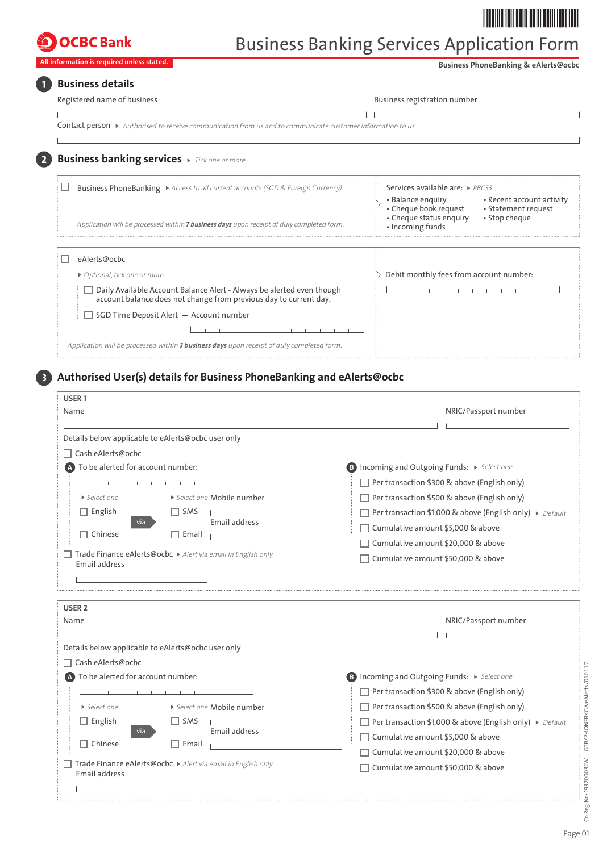## **OCBC** Bank

# Business Banking Services Application Form

**All information is required unless stated.** 

 **Business PhoneBanking & eAlerts@ocbc**

## **Business details**

| Registered name of business                                                                                                      | Business registration number |
|----------------------------------------------------------------------------------------------------------------------------------|------------------------------|
|                                                                                                                                  |                              |
| <b>Contact person</b> $\triangleright$ Authorised to receive communication from us and to communicate customer information to us |                              |

#### **Business banking services** *Tick one or more*  $\left( 2\right)$

| Business PhoneBanking > Access to all current accounts (SGD & Foreign Currency)<br>Application will be processed within <b>7 business days</b> upon receipt of duly completed form. | Services available are: PBCS3<br>• Recent account activity<br>• Balance enguiry<br>• Cheque book request<br>• Statement request<br>• Stop cheque<br>• Cheque status enquiry<br>• Incoming funds |
|-------------------------------------------------------------------------------------------------------------------------------------------------------------------------------------|-------------------------------------------------------------------------------------------------------------------------------------------------------------------------------------------------|
| eAlerts@ocbc                                                                                                                                                                        |                                                                                                                                                                                                 |
| • Optional, tick one or more                                                                                                                                                        | Debit monthly fees from account number:                                                                                                                                                         |
| □ Daily Available Account Balance Alert - Always be alerted even though<br>account balance does not change from previous day to current day.                                        |                                                                                                                                                                                                 |
| $\Box$ SGD Time Deposit Alert $-$ Account number                                                                                                                                    |                                                                                                                                                                                                 |
|                                                                                                                                                                                     |                                                                                                                                                                                                 |
| Application will be processed within 3 business days upon receipt of duly completed form.                                                                                           |                                                                                                                                                                                                 |

## **Authorised User(s) details for Business PhoneBanking and eAlerts@ocbc**

| USER <sub>1</sub>                                                             |              |                            |                                                                                           |  |  |  |  |
|-------------------------------------------------------------------------------|--------------|----------------------------|-------------------------------------------------------------------------------------------|--|--|--|--|
| Name                                                                          |              |                            | NRIC/Passport number                                                                      |  |  |  |  |
| Details below applicable to eAlerts@ocbc user only                            |              |                            |                                                                                           |  |  |  |  |
| Cash eAlerts@ocbc                                                             |              |                            |                                                                                           |  |  |  |  |
| To be alerted for account number:                                             |              |                            | B Incoming and Outgoing Funds: > Select one                                               |  |  |  |  |
|                                                                               |              |                            | Per transaction \$300 & above (English only)                                              |  |  |  |  |
| $\triangleright$ Select one                                                   |              | ▶ Select one Mobile number | $\Box$ Per transaction \$500 & above (English only)                                       |  |  |  |  |
| $\Box$ English                                                                | $\Box$ SMS   |                            | <b>Per transaction \$1,000 &amp; above (English only)</b> $\triangleright$ <i>Default</i> |  |  |  |  |
| via<br>$\Box$ Chinese                                                         | $\Box$ Email | Email address              | □ Cumulative amount \$5,000 & above                                                       |  |  |  |  |
|                                                                               |              |                            | □ Cumulative amount \$20,000 & above                                                      |  |  |  |  |
| Trade Finance eAlerts@ocbc ▶ Alert via email in English only<br>Email address |              |                            | Cumulative amount \$50,000 & above                                                        |  |  |  |  |
|                                                                               |              |                            |                                                                                           |  |  |  |  |
|                                                                               |              |                            |                                                                                           |  |  |  |  |
| USER <sub>2</sub>                                                             |              |                            |                                                                                           |  |  |  |  |
| Name                                                                          |              |                            | NRIC/Passport number                                                                      |  |  |  |  |
| Details below applicable to eAlerts@ocbc user only                            |              |                            |                                                                                           |  |  |  |  |
| Cash eAlerts@ocbc                                                             |              |                            |                                                                                           |  |  |  |  |
| To be alerted for account number:                                             |              |                            | <b>B</b> Incoming and Outgoing Funds: > Select one                                        |  |  |  |  |
|                                                                               | .            |                            | Per transaction \$300 & above (English only)                                              |  |  |  |  |
| $\triangleright$ Select one                                                   |              | ▶ Select one Mobile number | $\Box$ Per transaction \$500 & above (English only)                                       |  |  |  |  |
| $\Box$ English                                                                | $\Box$ SMS   |                            | Per transaction \$1,000 & above (English only) ▶ Default                                  |  |  |  |  |
| via                                                                           |              | Email address              | □ Cumulative amount \$5,000 & above                                                       |  |  |  |  |
| $\Box$ Chinese                                                                | $\Box$ Email |                            | □ Cumulative amount \$20,000 & above                                                      |  |  |  |  |
| Trade Finance eAlerts@ocbc ▶ Alert via email in English only<br>Email address |              |                            | Cumulative amount \$50,000 & above                                                        |  |  |  |  |
|                                                                               |              |                            |                                                                                           |  |  |  |  |